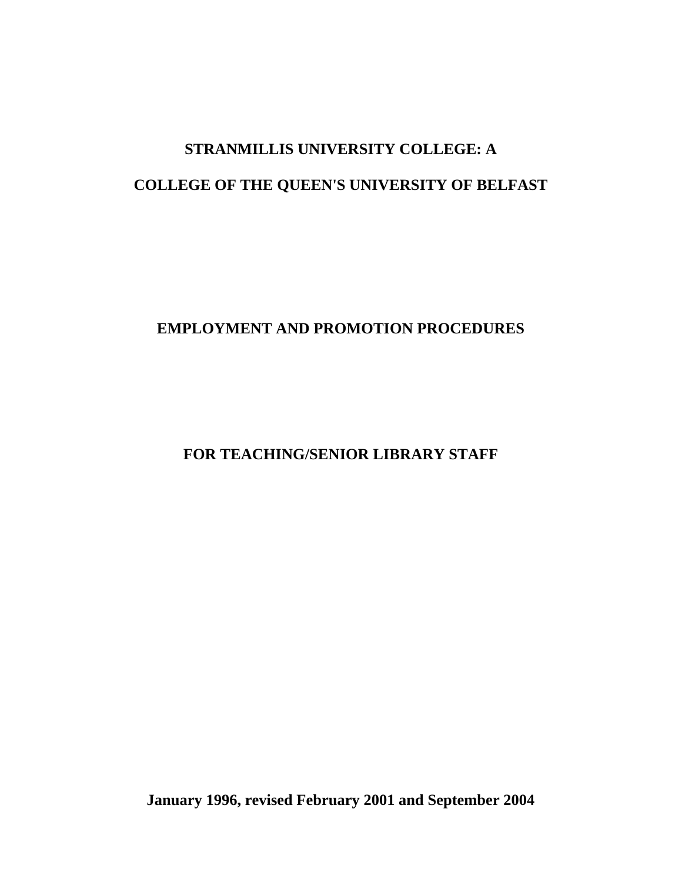# **STRANMILLIS UNIVERSITY COLLEGE: A COLLEGE OF THE QUEEN'S UNIVERSITY OF BELFAST**

# **EMPLOYMENT AND PROMOTION PROCEDURES**

**FOR TEACHING/SENIOR LIBRARY STAFF**

**January 1996, revised February 2001 and September 2004**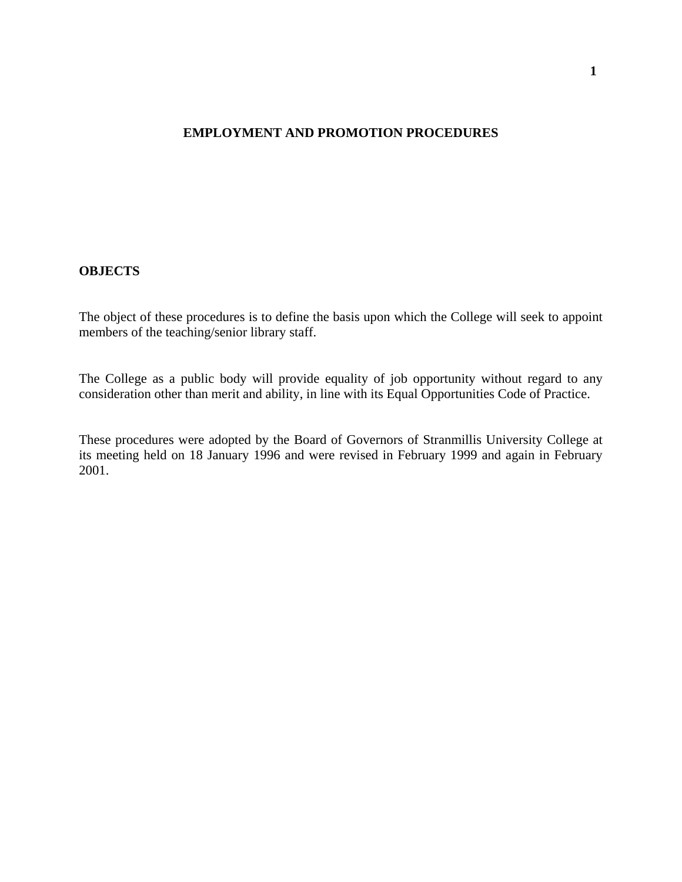#### **EMPLOYMENT AND PROMOTION PROCEDURES**

#### **OBJECTS**

The object of these procedures is to define the basis upon which the College will seek to appoint members of the teaching/senior library staff.

The College as a public body will provide equality of job opportunity without regard to any consideration other than merit and ability, in line with its Equal Opportunities Code of Practice.

These procedures were adopted by the Board of Governors of Stranmillis University College at its meeting held on 18 January 1996 and were revised in February 1999 and again in February 2001.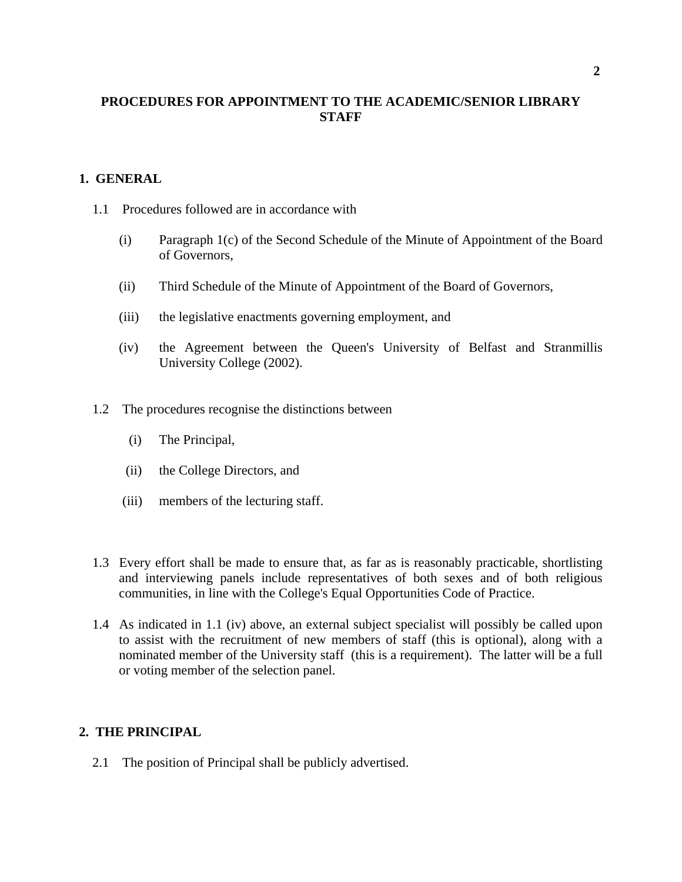# **PROCEDURES FOR APPOINTMENT TO THE ACADEMIC/SENIOR LIBRARY STAFF**

### **1. GENERAL**

- 1.1 Procedures followed are in accordance with
	- (i) Paragraph 1(c) of the Second Schedule of the Minute of Appointment of the Board of Governors,
	- (ii) Third Schedule of the Minute of Appointment of the Board of Governors,
	- (iii) the legislative enactments governing employment, and
	- (iv) the Agreement between the Queen's University of Belfast and Stranmillis University College (2002).
- 1.2 The procedures recognise the distinctions between
	- (i) The Principal,
	- (ii) the College Directors, and
	- (iii) members of the lecturing staff.
- 1.3 Every effort shall be made to ensure that, as far as is reasonably practicable, shortlisting and interviewing panels include representatives of both sexes and of both religious communities, in line with the College's Equal Opportunities Code of Practice.
- 1.4 As indicated in 1.1 (iv) above, an external subject specialist will possibly be called upon to assist with the recruitment of new members of staff (this is optional), along with a nominated member of the University staff (this is a requirement). The latter will be a full or voting member of the selection panel.

#### **2. THE PRINCIPAL**

2.1 The position of Principal shall be publicly advertised.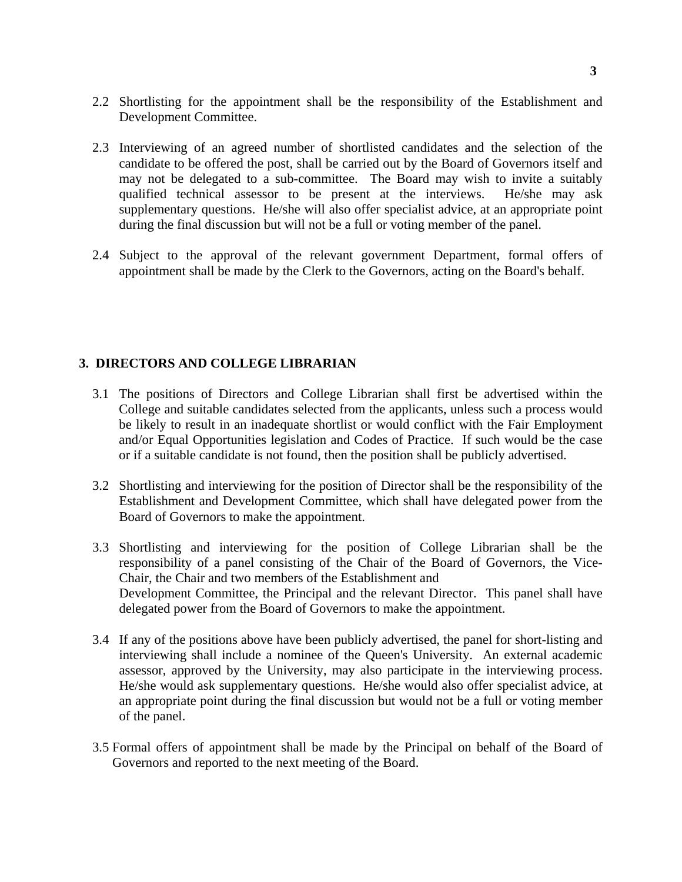- 2.2 Shortlisting for the appointment shall be the responsibility of the Establishment and Development Committee.
- 2.3 Interviewing of an agreed number of shortlisted candidates and the selection of the candidate to be offered the post, shall be carried out by the Board of Governors itself and may not be delegated to a sub-committee. The Board may wish to invite a suitably qualified technical assessor to be present at the interviews. He/she may ask supplementary questions. He/she will also offer specialist advice, at an appropriate point during the final discussion but will not be a full or voting member of the panel.
- 2.4 Subject to the approval of the relevant government Department, formal offers of appointment shall be made by the Clerk to the Governors, acting on the Board's behalf.

# **3. DIRECTORS AND COLLEGE LIBRARIAN**

- 3.1 The positions of Directors and College Librarian shall first be advertised within the College and suitable candidates selected from the applicants, unless such a process would be likely to result in an inadequate shortlist or would conflict with the Fair Employment and/or Equal Opportunities legislation and Codes of Practice. If such would be the case or if a suitable candidate is not found, then the position shall be publicly advertised.
- 3.2 Shortlisting and interviewing for the position of Director shall be the responsibility of the Establishment and Development Committee, which shall have delegated power from the Board of Governors to make the appointment.
- 3.3 Shortlisting and interviewing for the position of College Librarian shall be the responsibility of a panel consisting of the Chair of the Board of Governors, the Vice-Chair, the Chair and two members of the Establishment and Development Committee, the Principal and the relevant Director. This panel shall have delegated power from the Board of Governors to make the appointment.
- 3.4 If any of the positions above have been publicly advertised, the panel for short-listing and interviewing shall include a nominee of the Queen's University. An external academic assessor, approved by the University, may also participate in the interviewing process. He/she would ask supplementary questions. He/she would also offer specialist advice, at an appropriate point during the final discussion but would not be a full or voting member of the panel.
- 3.5 Formal offers of appointment shall be made by the Principal on behalf of the Board of Governors and reported to the next meeting of the Board.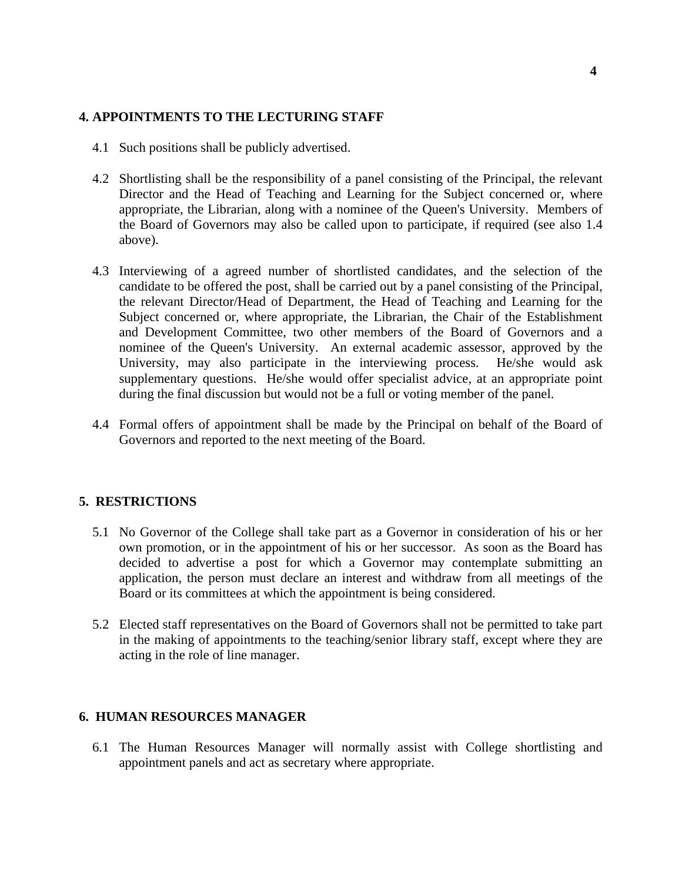#### **4. APPOINTMENTS TO THE LECTURING STAFF**

- 4.1 Such positions shall be publicly advertised.
- 4.2 Shortlisting shall be the responsibility of a panel consisting of the Principal, the relevant Director and the Head of Teaching and Learning for the Subject concerned or, where appropriate, the Librarian, along with a nominee of the Queen's University. Members of the Board of Governors may also be called upon to participate, if required (see also 1.4 above).
- 4.3 Interviewing of a agreed number of shortlisted candidates, and the selection of the candidate to be offered the post, shall be carried out by a panel consisting of the Principal, the relevant Director/Head of Department, the Head of Teaching and Learning for the Subject concerned or, where appropriate, the Librarian, the Chair of the Establishment and Development Committee, two other members of the Board of Governors and a nominee of the Queen's University. An external academic assessor, approved by the University, may also participate in the interviewing process. He/she would ask supplementary questions. He/she would offer specialist advice, at an appropriate point during the final discussion but would not be a full or voting member of the panel.
- 4.4 Formal offers of appointment shall be made by the Principal on behalf of the Board of Governors and reported to the next meeting of the Board.

### **5. RESTRICTIONS**

- 5.1 No Governor of the College shall take part as a Governor in consideration of his or her own promotion, or in the appointment of his or her successor. As soon as the Board has decided to advertise a post for which a Governor may contemplate submitting an application, the person must declare an interest and withdraw from all meetings of the Board or its committees at which the appointment is being considered.
- 5.2 Elected staff representatives on the Board of Governors shall not be permitted to take part in the making of appointments to the teaching/senior library staff, except where they are acting in the role of line manager.

#### **6. HUMAN RESOURCES MANAGER**

6.1 The Human Resources Manager will normally assist with College shortlisting and appointment panels and act as secretary where appropriate.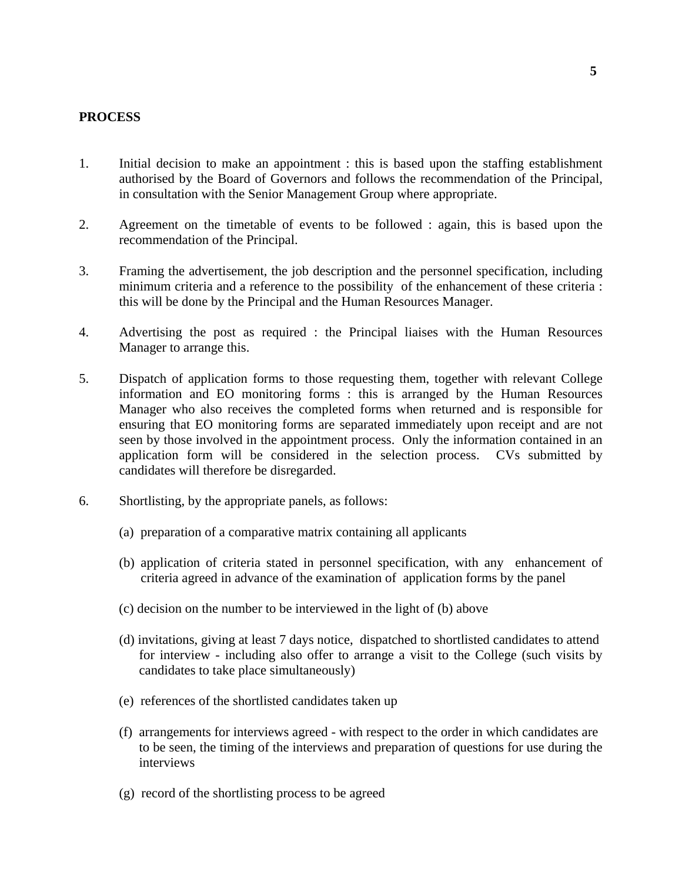#### **PROCESS**

- 1. Initial decision to make an appointment : this is based upon the staffing establishment authorised by the Board of Governors and follows the recommendation of the Principal, in consultation with the Senior Management Group where appropriate.
- 2. Agreement on the timetable of events to be followed : again, this is based upon the recommendation of the Principal.
- 3. Framing the advertisement, the job description and the personnel specification, including minimum criteria and a reference to the possibility of the enhancement of these criteria : this will be done by the Principal and the Human Resources Manager.
- 4. Advertising the post as required : the Principal liaises with the Human Resources Manager to arrange this.
- 5. Dispatch of application forms to those requesting them, together with relevant College information and EO monitoring forms : this is arranged by the Human Resources Manager who also receives the completed forms when returned and is responsible for ensuring that EO monitoring forms are separated immediately upon receipt and are not seen by those involved in the appointment process. Only the information contained in an application form will be considered in the selection process. CVs submitted by candidates will therefore be disregarded.
- 6. Shortlisting, by the appropriate panels, as follows:
	- (a) preparation of a comparative matrix containing all applicants
	- (b) application of criteria stated in personnel specification, with any enhancement of criteria agreed in advance of the examination of application forms by the panel
	- (c) decision on the number to be interviewed in the light of (b) above
	- (d) invitations, giving at least 7 days notice, dispatched to shortlisted candidates to attend for interview - including also offer to arrange a visit to the College (such visits by candidates to take place simultaneously)
	- (e) references of the shortlisted candidates taken up
	- (f) arrangements for interviews agreed with respect to the order in which candidates are to be seen, the timing of the interviews and preparation of questions for use during the interviews
	- (g) record of the shortlisting process to be agreed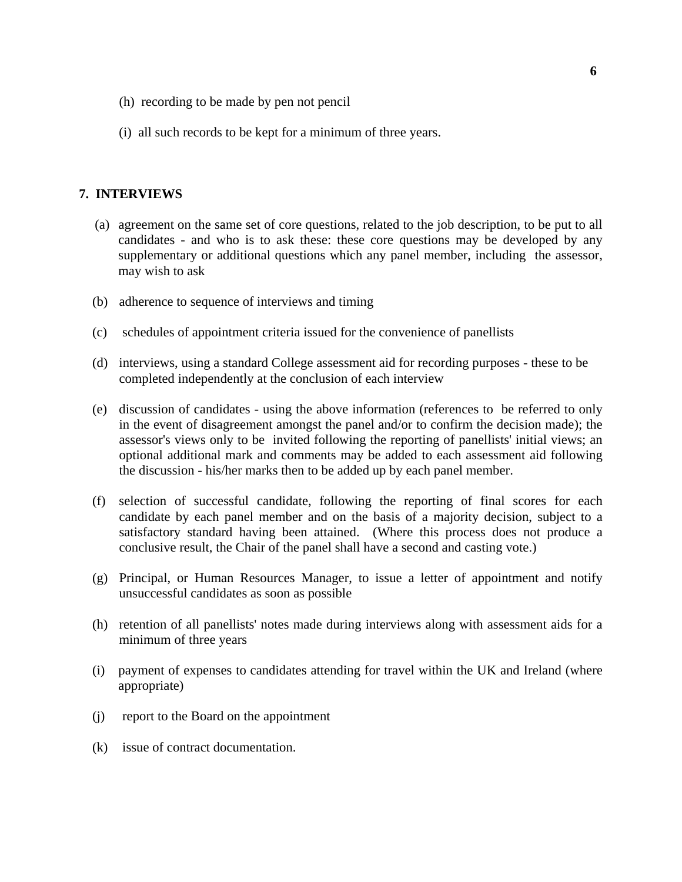- (h) recording to be made by pen not pencil
- (i) all such records to be kept for a minimum of three years.

#### **7. INTERVIEWS**

- (a) agreement on the same set of core questions, related to the job description, to be put to all candidates - and who is to ask these: these core questions may be developed by any supplementary or additional questions which any panel member, including the assessor, may wish to ask
- (b) adherence to sequence of interviews and timing
- (c) schedules of appointment criteria issued for the convenience of panellists
- (d) interviews, using a standard College assessment aid for recording purposes these to be completed independently at the conclusion of each interview
- (e) discussion of candidates using the above information (references to be referred to only in the event of disagreement amongst the panel and/or to confirm the decision made); the assessor's views only to be invited following the reporting of panellists' initial views; an optional additional mark and comments may be added to each assessment aid following the discussion - his/her marks then to be added up by each panel member.
- (f) selection of successful candidate, following the reporting of final scores for each candidate by each panel member and on the basis of a majority decision, subject to a satisfactory standard having been attained. (Where this process does not produce a conclusive result, the Chair of the panel shall have a second and casting vote.)
- (g) Principal, or Human Resources Manager, to issue a letter of appointment and notify unsuccessful candidates as soon as possible
- (h) retention of all panellists' notes made during interviews along with assessment aids for a minimum of three years
- (i) payment of expenses to candidates attending for travel within the UK and Ireland (where appropriate)
- (j) report to the Board on the appointment
- (k) issue of contract documentation.